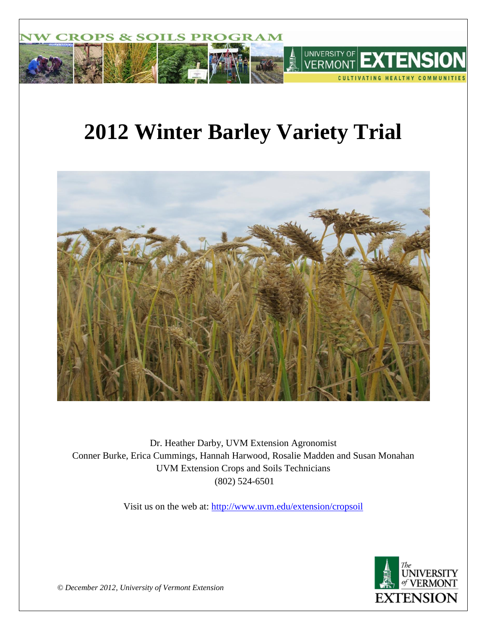

# **2012 Winter Barley Variety Trial**



Dr. Heather Darby, UVM Extension Agronomist Conner Burke, Erica Cummings, Hannah Harwood, Rosalie Madden and Susan Monahan UVM Extension Crops and Soils Technicians (802) 524-6501

Visit us on the web at:<http://www.uvm.edu/extension/cropsoil>



*© December 2012, University of Vermont Extension*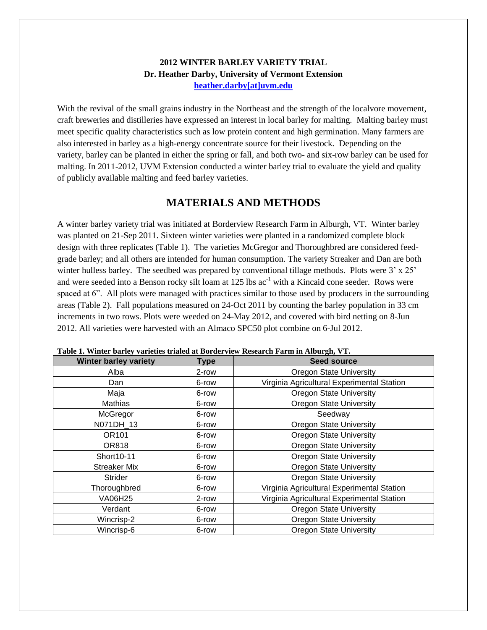#### **2012 WINTER BARLEY VARIETY TRIAL Dr. Heather Darby, University of Vermont Extension [heather.darby\[at\]uvm.edu](mailto:heather.darby@uvm.edu?subject=Winter%20Barley%20Variety%20Trial)**

With the revival of the small grains industry in the Northeast and the strength of the localvore movement, craft breweries and distilleries have expressed an interest in local barley for malting. Malting barley must meet specific quality characteristics such as low protein content and high germination. Many farmers are also interested in barley as a high-energy concentrate source for their livestock. Depending on the variety, barley can be planted in either the spring or fall, and both two- and six-row barley can be used for malting. In 2011-2012, UVM Extension conducted a winter barley trial to evaluate the yield and quality of publicly available malting and feed barley varieties.

## **MATERIALS AND METHODS**

A winter barley variety trial was initiated at Borderview Research Farm in Alburgh, VT. Winter barley was planted on 21-Sep 2011. Sixteen winter varieties were planted in a randomized complete block design with three replicates (Table 1). The varieties McGregor and Thoroughbred are considered feedgrade barley; and all others are intended for human consumption. The variety Streaker and Dan are both winter hulless barley. The seedbed was prepared by conventional tillage methods. Plots were 3' x 25' and were seeded into a Benson rocky silt loam at 125 lbs ac<sup>-1</sup> with a Kincaid cone seeder. Rows were spaced at 6". All plots were managed with practices similar to those used by producers in the surrounding areas (Table 2). Fall populations measured on 24-Oct 2011 by counting the barley population in 33 cm increments in two rows. Plots were weeded on 24-May 2012, and covered with bird netting on 8-Jun 2012. All varieties were harvested with an Almaco SPC50 plot combine on 6-Jul 2012.

| rabic 1. Minici barney varietics trialed at Dorucrylew Research Farm in Albargh, v F. |                                         |                                            |  |  |  |  |  |
|---------------------------------------------------------------------------------------|-----------------------------------------|--------------------------------------------|--|--|--|--|--|
| <b>Winter barley variety</b>                                                          | <b>Type</b>                             | <b>Seed source</b>                         |  |  |  |  |  |
| Alba                                                                                  | 2-row                                   | <b>Oregon State University</b>             |  |  |  |  |  |
| Dan                                                                                   | 6-row                                   | Virginia Agricultural Experimental Station |  |  |  |  |  |
| Maja                                                                                  | 6-row                                   | <b>Oregon State University</b>             |  |  |  |  |  |
| Mathias                                                                               | <b>Oregon State University</b><br>6-row |                                            |  |  |  |  |  |
| McGregor                                                                              | 6-row                                   | Seedway                                    |  |  |  |  |  |
| N071DH_13                                                                             | 6-row                                   | <b>Oregon State University</b>             |  |  |  |  |  |
| OR101                                                                                 | 6-row                                   | <b>Oregon State University</b>             |  |  |  |  |  |
| <b>OR818</b>                                                                          | 6-row                                   | <b>Oregon State University</b>             |  |  |  |  |  |
| Short10-11                                                                            | 6-row                                   | <b>Oregon State University</b>             |  |  |  |  |  |
| <b>Streaker Mix</b>                                                                   | 6-row                                   | <b>Oregon State University</b>             |  |  |  |  |  |
| <b>Strider</b>                                                                        | 6-row                                   | Oregon State University                    |  |  |  |  |  |
| Thoroughbred                                                                          | 6-row                                   | Virginia Agricultural Experimental Station |  |  |  |  |  |
| <b>VA06H25</b>                                                                        | 2-row                                   | Virginia Agricultural Experimental Station |  |  |  |  |  |
| Verdant                                                                               | 6-row                                   | <b>Oregon State University</b>             |  |  |  |  |  |
| Wincrisp-2                                                                            | 6-row                                   | <b>Oregon State University</b>             |  |  |  |  |  |
| Wincrisp-6<br><b>Oregon State University</b><br>6-row                                 |                                         |                                            |  |  |  |  |  |

**Table 1. Winter barley varieties trialed at Borderview Research Farm in Alburgh, VT.**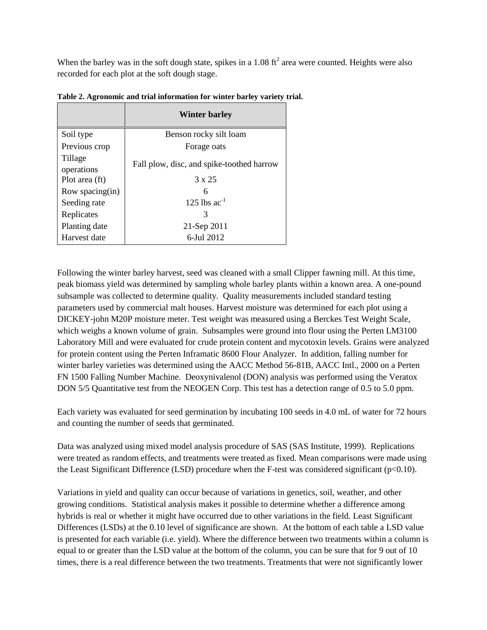When the barley was in the soft dough state, spikes in a 1.08 ft<sup>2</sup> area were counted. Heights were also recorded for each plot at the soft dough stage.

|                       | <b>Winter barley</b>                      |  |  |  |  |
|-----------------------|-------------------------------------------|--|--|--|--|
| Soil type             | Benson rocky silt loam                    |  |  |  |  |
| Previous crop         | Forage oats                               |  |  |  |  |
| Tillage<br>operations | Fall plow, disc, and spike-toothed harrow |  |  |  |  |
| Plot area (ft)        | $3 \times 25$                             |  |  |  |  |
| Row spacing(in)       | 6                                         |  |  |  |  |
| Seeding rate          | 125 lbs $ac^{-1}$                         |  |  |  |  |
| Replicates            | 3                                         |  |  |  |  |
| Planting date         | 21-Sep 2011                               |  |  |  |  |
| Harvest date          | 6-Jul 2012                                |  |  |  |  |

**Table 2. Agronomic and trial information for winter barley variety trial.**

Following the winter barley harvest, seed was cleaned with a small Clipper fawning mill. At this time, peak biomass yield was determined by sampling whole barley plants within a known area. A one-pound subsample was collected to determine quality. Quality measurements included standard testing parameters used by commercial malt houses. Harvest moisture was determined for each plot using a DICKEY-john M20P moisture meter. Test weight was measured using a Berckes Test Weight Scale, which weighs a known volume of grain. Subsamples were ground into flour using the Perten LM3100 Laboratory Mill and were evaluated for crude protein content and mycotoxin levels. Grains were analyzed for protein content using the Perten Inframatic 8600 Flour Analyzer. In addition, falling number for winter barley varieties was determined using the AACC Method 56-81B, AACC Intl., 2000 on a Perten FN 1500 Falling Number Machine. Deoxynivalenol (DON) analysis was performed using the Veratox DON 5/5 Quantitative test from the NEOGEN Corp. This test has a detection range of 0.5 to 5.0 ppm.

Each variety was evaluated for seed germination by incubating 100 seeds in 4.0 mL of water for 72 hours and counting the number of seeds that germinated.

Data was analyzed using mixed model analysis procedure of SAS (SAS Institute, 1999). Replications were treated as random effects, and treatments were treated as fixed. Mean comparisons were made using the Least Significant Difference (LSD) procedure when the F-test was considered significant ( $p<0.10$ ).

Variations in yield and quality can occur because of variations in genetics, soil, weather, and other growing conditions. Statistical analysis makes it possible to determine whether a difference among hybrids is real or whether it might have occurred due to other variations in the field. Least Significant Differences (LSDs) at the 0.10 level of significance are shown. At the bottom of each table a LSD value is presented for each variable (i.e. yield). Where the difference between two treatments within a column is equal to or greater than the LSD value at the bottom of the column, you can be sure that for 9 out of 10 times, there is a real difference between the two treatments. Treatments that were not significantly lower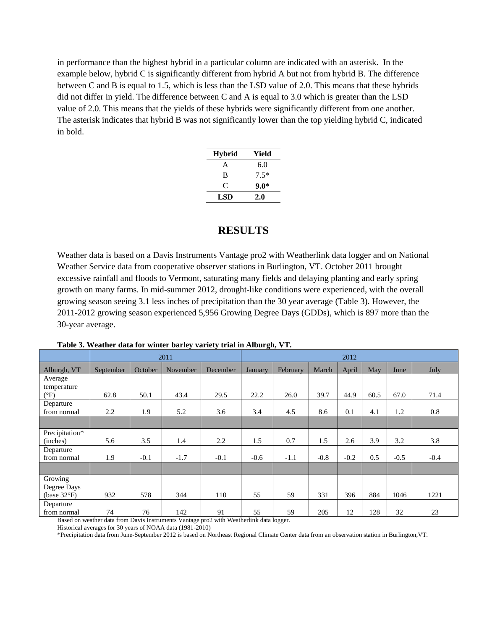in performance than the highest hybrid in a particular column are indicated with an asterisk. In the example below, hybrid C is significantly different from hybrid A but not from hybrid B. The difference between C and B is equal to 1.5, which is less than the LSD value of 2.0. This means that these hybrids did not differ in yield. The difference between C and A is equal to 3.0 which is greater than the LSD value of 2.0. This means that the yields of these hybrids were significantly different from one another. The asterisk indicates that hybrid B was not significantly lower than the top yielding hybrid C, indicated in bold.

| Hybrid | Yield  |  |  |  |  |
|--------|--------|--|--|--|--|
| A      | 6.0    |  |  |  |  |
| B      | $7.5*$ |  |  |  |  |
| C      | 9.0*   |  |  |  |  |
| LSD    | 2.0    |  |  |  |  |

#### **RESULTS**

Weather data is based on a Davis Instruments Vantage pro2 with Weatherlink data logger and on National Weather Service data from cooperative observer stations in Burlington, VT. October 2011 brought excessive rainfall and floods to Vermont, saturating many fields and delaying planting and early spring growth on many farms. In mid-summer 2012, drought-like conditions were experienced, with the overall growing season seeing 3.1 less inches of precipitation than the 30 year average (Table 3). However, the 2011-2012 growing season experienced 5,956 Growing Degree Days (GDDs), which is 897 more than the 30-year average.

|                                       | 2011      |         |          |          | 2012    |          |        |        |      |        |        |
|---------------------------------------|-----------|---------|----------|----------|---------|----------|--------|--------|------|--------|--------|
| Alburgh, VT                           | September | October | November | December | January | February | March  | April  | May  | June   | July   |
| Average<br>temperature                |           |         |          |          |         |          |        |        |      |        |        |
| $(^{\circ}F)$                         | 62.8      | 50.1    | 43.4     | 29.5     | 22.2    | 26.0     | 39.7   | 44.9   | 60.5 | 67.0   | 71.4   |
| Departure<br>from normal              | 2.2       | 1.9     | 5.2      | 3.6      | 3.4     | 4.5      | 8.6    | 0.1    | 4.1  | 1.2    | 0.8    |
|                                       |           |         |          |          |         |          |        |        |      |        |        |
| Precipitation*<br>(inches)            | 5.6       | 3.5     | 1.4      | 2.2      | 1.5     | 0.7      | 1.5    | 2.6    | 3.9  | 3.2    | 3.8    |
| Departure<br>from normal              | 1.9       | $-0.1$  | $-1.7$   | $-0.1$   | $-0.6$  | $-1.1$   | $-0.8$ | $-0.2$ | 0.5  | $-0.5$ | $-0.4$ |
|                                       |           |         |          |          |         |          |        |        |      |        |        |
| Growing<br>Degree Days<br>(base 32°F) | 932       | 578     | 344      | 110      | 55      | 59       | 331    | 396    | 884  | 1046   | 1221   |
| Departure<br>from normal              | 74        | 76      | 142      | 91       | 55      | 59       | 205    | 12     | 128  | 32     | 23     |

**Table 3. Weather data for winter barley variety trial in Alburgh, VT.**

Based on weather data from Davis Instruments Vantage pro2 with Weatherlink data logger.

Historical averages for 30 years of NOAA data (1981-2010)

\*Precipitation data from June-September 2012 is based on Northeast Regional Climate Center data from an observation station in Burlington,VT.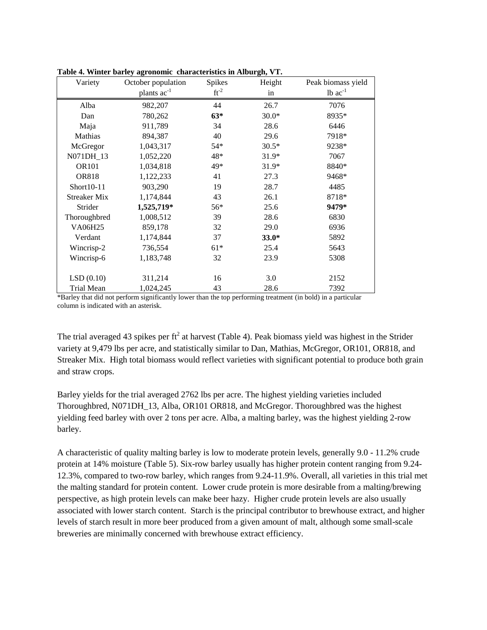| Variety             | October population | <b>Spikes</b> | Height  | Peak biomass yield    |
|---------------------|--------------------|---------------|---------|-----------------------|
|                     | plants $ac^{-1}$   | $ft^{-2}$     | in      | $1b$ ac <sup>-1</sup> |
| Alba                | 982,207            | 44            | 26.7    | 7076                  |
| Dan                 | 780,262            | $63*$         | $30.0*$ | 8935*                 |
| Maja                | 911,789            | 34            | 28.6    | 6446                  |
| Mathias             | 894,387            | 40            | 29.6    | 7918*                 |
| McGregor            | 1,043,317          | $54*$         | $30.5*$ | 9238*                 |
| N071DH_13           | 1,052,220          | 48*           | 31.9*   | 7067                  |
| <b>OR101</b>        | 1,034,818          | 49*           | 31.9*   | 8840*                 |
| <b>OR818</b>        | 1,122,233          | 41            | 27.3    | 9468*                 |
| $Short10-11$        | 903,290            | 19            | 28.7    | 4485                  |
| <b>Streaker Mix</b> | 1,174,844          | 43            | 26.1    | 8718*                 |
| Strider             | 1,525,719*         | $56*$         | 25.6    | 9479*                 |
| Thoroughbred        | 1,008,512          | 39            | 28.6    | 6830                  |
| <b>VA06H25</b>      | 859,178            | 32            | 29.0    | 6936                  |
| Verdant             | 1,174,844          | 37            | $33.0*$ | 5892                  |
| Wincrisp-2          | 736,554            | $61*$         | 25.4    | 5643                  |
| Wincrisp-6          | 1,183,748          | 32            | 23.9    | 5308                  |
|                     |                    |               |         |                       |
| LSD(0.10)           | 311,214            | 16            | 3.0     | 2152                  |
| Trial Mean          | 1,024,245          | 43            | 28.6    | 7392                  |

**Table 4. Winter barley agronomic characteristics in Alburgh, VT.**

\*Barley that did not perform significantly lower than the top performing treatment (in bold) in a particular column is indicated with an asterisk.

The trial averaged 43 spikes per ft<sup>2</sup> at harvest (Table 4). Peak biomass yield was highest in the Strider variety at 9,479 lbs per acre, and statistically similar to Dan, Mathias, McGregor, OR101, OR818, and Streaker Mix. High total biomass would reflect varieties with significant potential to produce both grain and straw crops.

Barley yields for the trial averaged 2762 lbs per acre. The highest yielding varieties included Thoroughbred, N071DH\_13, Alba, OR101 OR818, and McGregor. Thoroughbred was the highest yielding feed barley with over 2 tons per acre. Alba, a malting barley, was the highest yielding 2-row barley.

A characteristic of quality malting barley is low to moderate protein levels, generally 9.0 - 11.2% crude protein at 14% moisture (Table 5). Six-row barley usually has higher protein content ranging from 9.24- 12.3%, compared to two-row barley, which ranges from 9.24-11.9%. Overall, all varieties in this trial met the malting standard for protein content. Lower crude protein is more desirable from a malting/brewing perspective, as high protein levels can make beer hazy. Higher crude protein levels are also usually associated with lower starch content. Starch is the principal contributor to brewhouse extract, and higher levels of starch result in more beer produced from a given amount of malt, although some small-scale breweries are minimally concerned with brewhouse extract efficiency.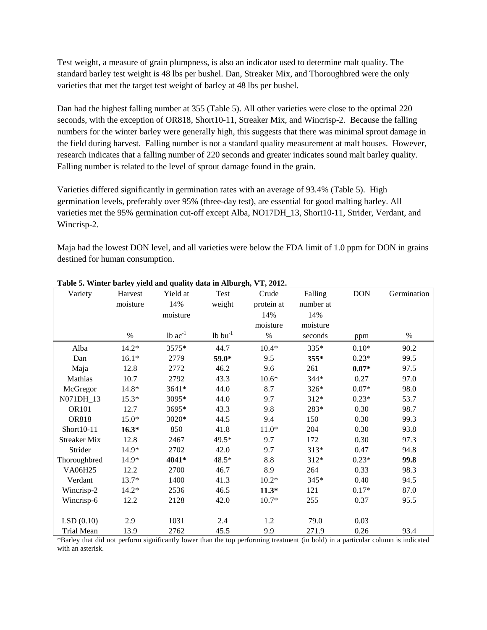Test weight, a measure of grain plumpness, is also an indicator used to determine malt quality. The standard barley test weight is 48 lbs per bushel. Dan, Streaker Mix, and Thoroughbred were the only varieties that met the target test weight of barley at 48 lbs per bushel.

Dan had the highest falling number at 355 (Table 5). All other varieties were close to the optimal 220 seconds, with the exception of OR818, Short10-11, Streaker Mix, and Wincrisp-2. Because the falling numbers for the winter barley were generally high, this suggests that there was minimal sprout damage in the field during harvest. Falling number is not a standard quality measurement at malt houses. However, research indicates that a falling number of 220 seconds and greater indicates sound malt barley quality. Falling number is related to the level of sprout damage found in the grain.

Varieties differed significantly in germination rates with an average of 93.4% (Table 5). High germination levels, preferably over 95% (three-day test), are essential for good malting barley. All varieties met the 95% germination cut-off except Alba, NO17DH\_13, Short10-11, Strider, Verdant, and Wincrisp-2.

Maja had the lowest DON level, and all varieties were below the FDA limit of 1.0 ppm for DON in grains destined for human consumption.

| Variety             | Harvest  | Yield at       | Test            | Crude      | Falling   | <b>DON</b> | Germination |
|---------------------|----------|----------------|-----------------|------------|-----------|------------|-------------|
|                     | moisture | 14%            | weight          | protein at | number at |            |             |
|                     |          | moisture       |                 | 14%        | 14%       |            |             |
|                     |          |                |                 | moisture   | moisture  |            |             |
|                     | $\%$     | $1b$ $ac^{-1}$ | $1b$ bu $^{-1}$ | $\%$       | seconds   | ppm        | %           |
| Alba                | $14.2*$  | 3575*          | 44.7            | $10.4*$    | 335*      | $0.10*$    | 90.2        |
| Dan                 | $16.1*$  | 2779           | 59.0*           | 9.5        | 355*      | $0.23*$    | 99.5        |
| Maja                | 12.8     | 2772           | 46.2            | 9.6        | 261       | $0.07*$    | 97.5        |
| Mathias             | 10.7     | 2792           | 43.3            | $10.6*$    | $344*$    | 0.27       | 97.0        |
| McGregor            | $14.8*$  | 3641*          | 44.0            | 8.7        | 326*      | $0.07*$    | 98.0        |
| N071DH_13           | $15.3*$  | 3095*          | 44.0            | 9.7        | $312*$    | $0.23*$    | 53.7        |
| <b>OR101</b>        | 12.7     | 3695*          | 43.3            | 9.8        | 283*      | 0.30       | 98.7        |
| <b>OR818</b>        | $15.0*$  | 3020*          | 44.5            | 9.4        | 150       | 0.30       | 99.3        |
| Short10-11          | $16.3*$  | 850            | 41.8            | $11.0*$    | 204       | 0.30       | 93.8        |
| <b>Streaker Mix</b> | 12.8     | 2467           | 49.5*           | 9.7        | 172       | 0.30       | 97.3        |
| Strider             | 14.9*    | 2702           | 42.0            | 9.7        | $313*$    | 0.47       | 94.8        |
| Thoroughbred        | $14.9*$  | 4041*          | 48.5*           | 8.8        | $312*$    | $0.23*$    | 99.8        |
| VA06H25             | 12.2     | 2700           | 46.7            | 8.9        | 264       | 0.33       | 98.3        |
| Verdant             | 13.7*    | 1400           | 41.3            | $10.2*$    | 345*      | 0.40       | 94.5        |
| Wincrisp-2          | $14.2*$  | 2536           | 46.5            | $11.3*$    | 121       | $0.17*$    | 87.0        |
| Wincrisp-6          | 12.2     | 2128           | 42.0            | $10.7*$    | 255       | 0.37       | 95.5        |
| LSD(0.10)           | 2.9      | 1031           | 2.4             | 1.2        | 79.0      | 0.03       |             |
| <b>Trial Mean</b>   | 13.9     | 2762           | 45.5            | 9.9        | 271.9     | 0.26       | 93.4        |

**Table 5. Winter barley yield and quality data in Alburgh, VT, 2012.**

\*Barley that did not perform significantly lower than the top performing treatment (in bold) in a particular column is indicated with an asterisk.